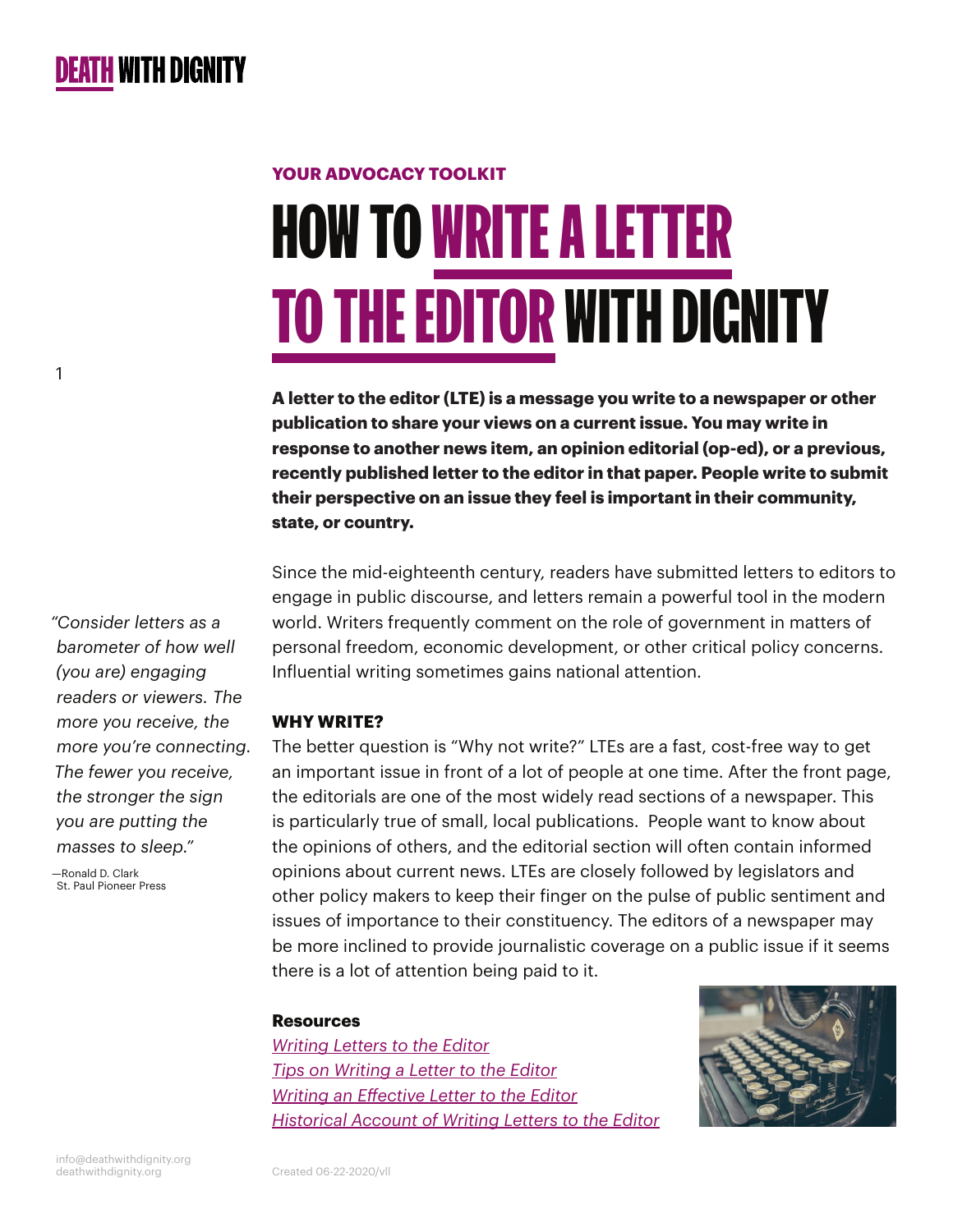1

# **YOUR ADVOCACY TOOLKIT** HOW TO WRITE A LETTER TO THE EDITOR WITH DIGNITY

**A letter to the editor (LTE) is a message you write to a newspaper or other publication to share your views on a current issue. You may write in response to another news item, an opinion editorial (op-ed), or a previous, recently published letter to the editor in that paper. People write to submit their perspective on an issue they feel is important in their community, state, or country.**

Since the mid-eighteenth century, readers have submitted letters to editors to engage in public discourse, and letters remain a powerful tool in the modern world. Writers frequently comment on the role of government in matters of personal freedom, economic development, or other critical policy concerns. Influential writing sometimes gains national attention.

## **WHY WRITE?**

The better question is "Why not write?" LTEs are a fast, cost-free way to get an important issue in front of a lot of people at one time. After the front page, the editorials are one of the most widely read sections of a newspaper. This is particularly true of small, local publications. People want to know about the opinions of others, and the editorial section will often contain informed opinions about current news. LTEs are closely followed by legislators and other policy makers to keep their finger on the pulse of public sentiment and issues of importance to their constituency. The editors of a newspaper may be more inclined to provide journalistic coverage on a public issue if it seems there is a lot of attention being paid to it.

### **Resources**

*[Writing Letters to the Editor](https://ctb.ku.edu/en/table-of-contents/advocacy/direct-action/letters-to-editor/main) [Tips on Writing a Letter to the Editor](https://www.aclu.org/other/tips-writing-letter-editor) [Writing an Effective Letter to the Editor](https://www.ucsusa.org/resources/writing-effective-letter-editor) [Historical Account of Writing Letters to the Editor](https://en.wikipedia.org/wiki/Letter_to_the_editor#History)*



*"Consider letters as a barometer of how well (you are) engaging readers or viewers. The more you receive, the more you're connecting. The fewer you receive, the stronger the sign you are putting the masses to sleep."*

—Ronald D. Clark St. Paul Pioneer Press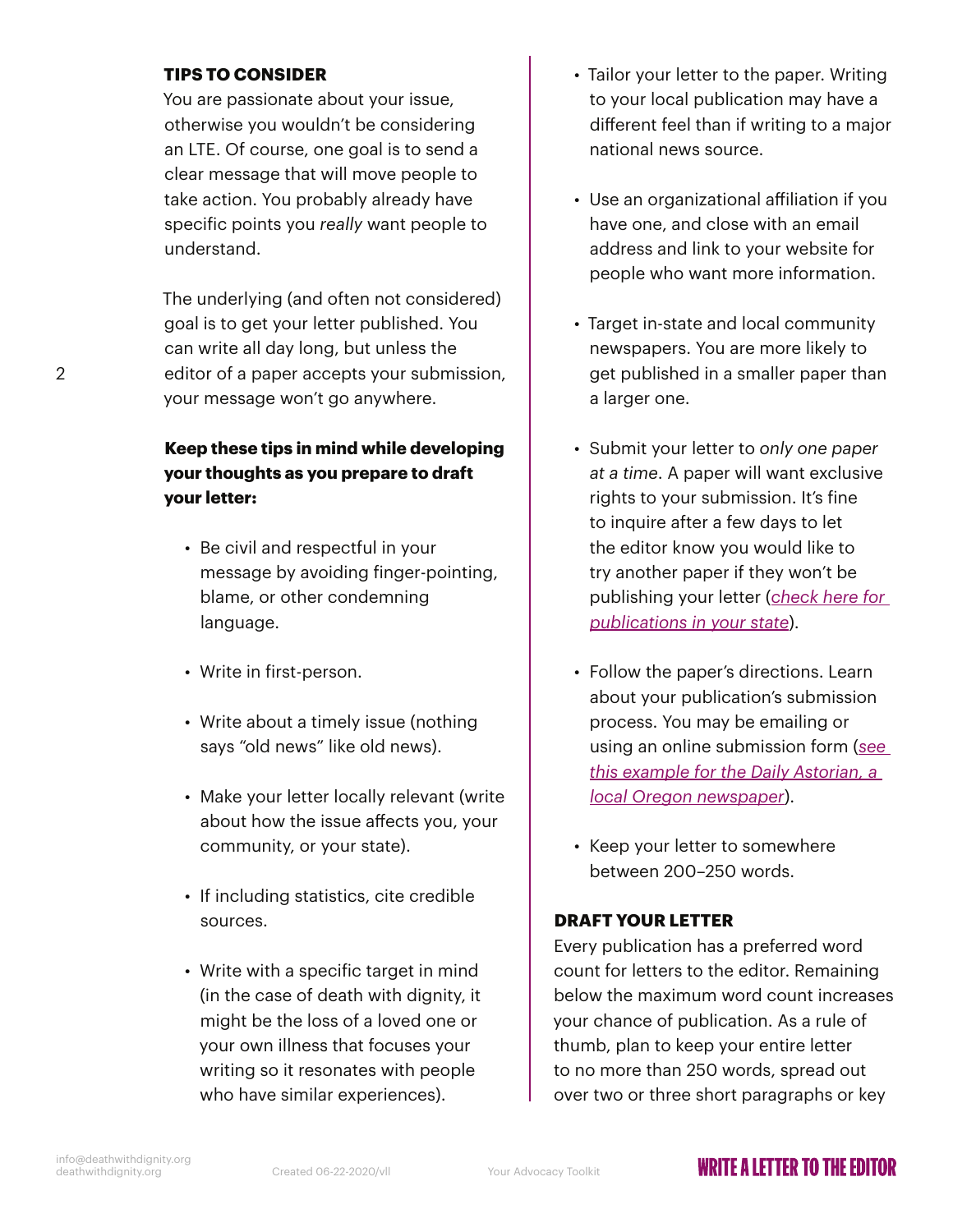## **TIPS TO CONSIDER**

You are passionate about your issue, otherwise you wouldn't be considering an LTE. Of course, one goal is to send a clear message that will move people to take action. You probably already have specific points you *really* want people to understand.

The underlying (and often not considered) goal is to get your letter published. You can write all day long, but unless the editor of a paper accepts your submission, your message won't go anywhere.

## **Keep these tips in mind while developing your thoughts as you prepare to draft your letter:**

- Be civil and respectful in your message by avoiding finger-pointing, blame, or other condemning language.
- Write in first-person.
- Write about a timely issue (nothing says "old news" like old news).
- Make your letter locally relevant (write about how the issue affects you, your community, or your state).
- If including statistics, cite credible sources.
- Write with a specific target in mind (in the case of death with dignity, it might be the loss of a loved one or your own illness that focuses your writing so it resonates with people who have similar experiences).
- Tailor your letter to the paper. Writing to your local publication may have a different feel than if writing to a major national news source.
- Use an organizational affiliation if you have one, and close with an email address and link to your website for people who want more information.
- Target in-state and local community newspapers. You are more likely to get published in a smaller paper than a larger one.
- Submit your letter to *only one paper at a time*. A paper will want exclusive rights to your submission. It's fine to inquire after a few days to let the editor know you would like to try another paper if they won't be publishing your letter (*[check here for](https://www.usnpl.com/)  [publications in your state](https://www.usnpl.com/)*).
- Follow the paper's directions. Learn about your publication's submission process. You may be emailing or using an online submission form (*[see](https://www.dailyastorian.com/site/forms/online_services/letter_editor/)  [this example for the Daily Astorian, a](https://www.dailyastorian.com/site/forms/online_services/letter_editor/)  [local Oregon newspaper](https://www.dailyastorian.com/site/forms/online_services/letter_editor/)*).
- Keep your letter to somewhere between 200–250 words.

## **DRAFT YOUR LETTER**

Every publication has a preferred word count for letters to the editor. Remaining below the maximum word count increases your chance of publication. As a rule of thumb, plan to keep your entire letter to no more than 250 words, spread out over two or three short paragraphs or key

## **WRITE A LETTER TO THE EDITOR**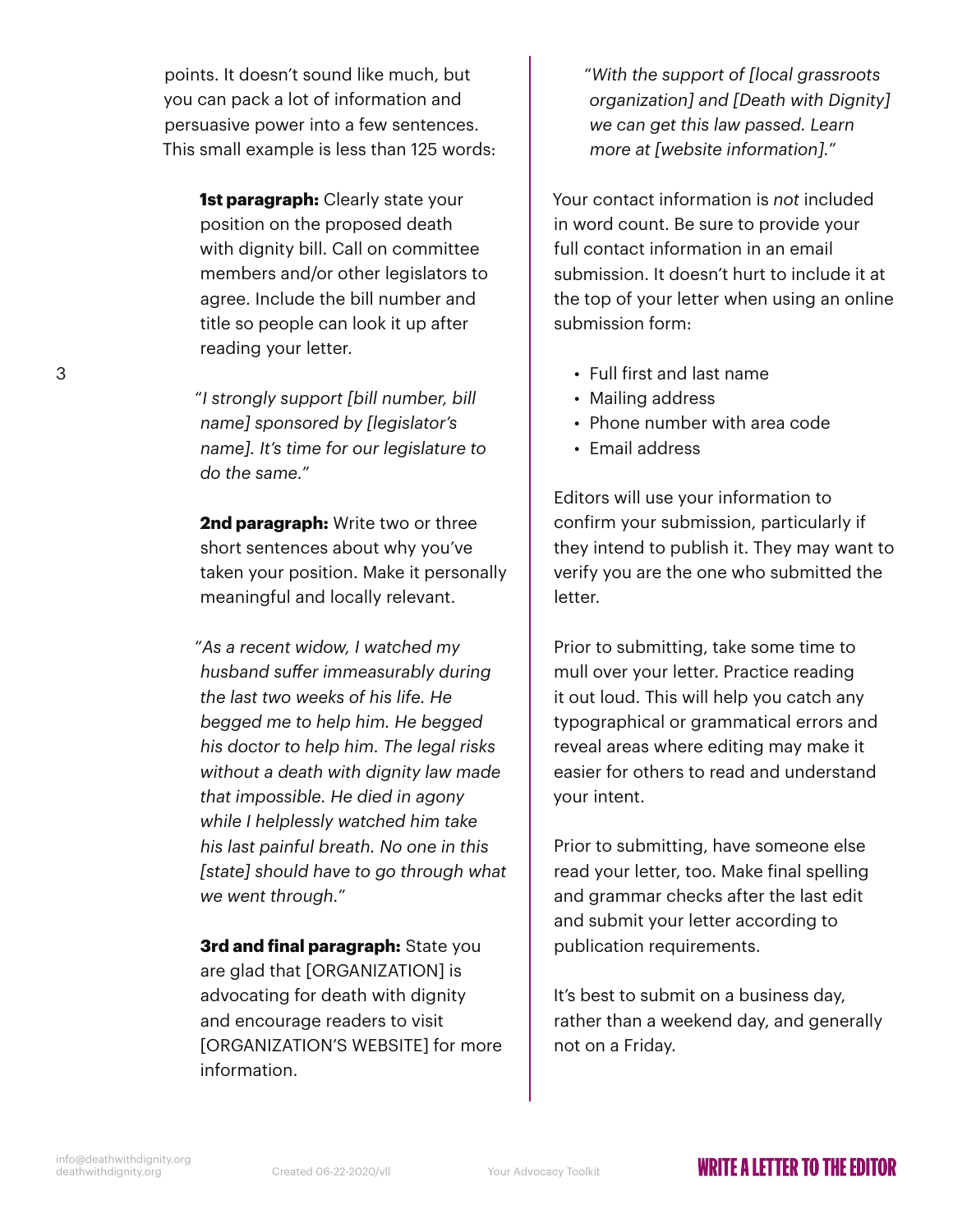points. It doesn't sound like much, but you can pack a lot of information and persuasive power into a few sentences. This small example is less than 125 words:

> **1st paragraph:** Clearly state your position on the proposed death with dignity bill. Call on committee members and/or other legislators to agree. Include the bill number and title so people can look it up after reading your letter.

"*I strongly support [bill number, bill name] sponsored by [legislator's name]. It's time for our legislature to do the same.*"

**2nd paragraph:** Write two or three short sentences about why you've taken your position. Make it personally meaningful and locally relevant.

"*As a recent widow, I watched my husband suffer immeasurably during the last two weeks of his life. He begged me to help him. He begged his doctor to help him. The legal risks without a death with dignity law made that impossible. He died in agony while I helplessly watched him take his last painful breath. No one in this [state] should have to go through what we went through.*"

**3rd and final paragraph:** State you are glad that [ORGANIZATION] is advocating for death with dignity and encourage readers to visit [ORGANIZATION'S WEBSITE] for more information.

"*With the support of [local grassroots organization] and [Death with Dignity] we can get this law passed. Learn more at [website information].*"

Your contact information is *not* included in word count. Be sure to provide your full contact information in an email submission. It doesn't hurt to include it at the top of your letter when using an online submission form:

- Full first and last name
- Mailing address
- Phone number with area code
- Email address

Editors will use your information to confirm your submission, particularly if they intend to publish it. They may want to verify you are the one who submitted the letter.

Prior to submitting, take some time to mull over your letter. Practice reading it out loud. This will help you catch any typographical or grammatical errors and reveal areas where editing may make it easier for others to read and understand your intent.

Prior to submitting, have someone else read your letter, too. Make final spelling and grammar checks after the last edit and submit your letter according to publication requirements.

It's best to submit on a business day, rather than a weekend day, and generally not on a Friday.